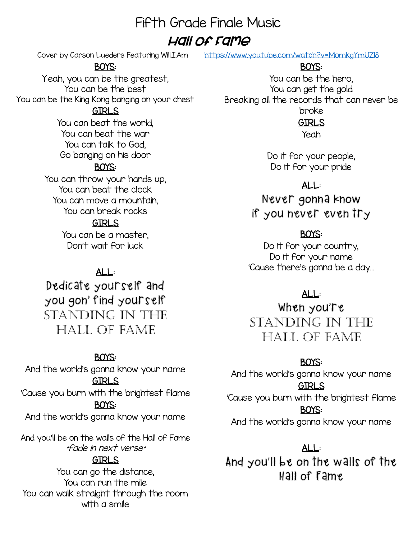# Fifth Grade Finale Music

## Hall of Fame

## BOYS:

Yeah, you can be the greatest, You can be the best You can be the King Kong banging on your chest

#### GIRLS

You can beat the world, You can beat the war You can talk to God, Go banging on his door

## BOYS:

You can throw your hands up, You can beat the clock You can move a mountain, You can break rocks

## **GTRLS**

You can be a master, Don't wait for luck

## ALL:

Dedicate yourself and you gon' find yourself Standing in the hall of fame

## BOYS:

And the world's gonna know your name GIRLS 'Cause you burn with the brightest flame

#### BOYS:

And the world's gonna know your name

And you'll be on the walls of the Hall of Fame \*fade in next verse\*

## GIRLS

You can go the distance, You can run the mile You can walk straight through the room with a smile

Cover by Carson Lueders Featuring Will.I.Am <https://www.youtube.com/watch?v=MomkgYmUZl8>

## BOYS:

You can be the hero, You can get the gold Breaking all the records that can never be broke

## GIRLS

Yeah

Do it for your people, Do it for your pride

## ALL:

Never gonna know if you never even try

## BOYS:

Do it for your country, Do it for your name 'Cause there's gonna be a day…

## ALL:

When you're Standing in the hall of fame

## BOYS:

And the world's gonna know your name GIRLS

'Cause you burn with the brightest flame BOYS:

And the world's gonna know your name

## ALL:

And you'll be on the walls of the Hall of Fame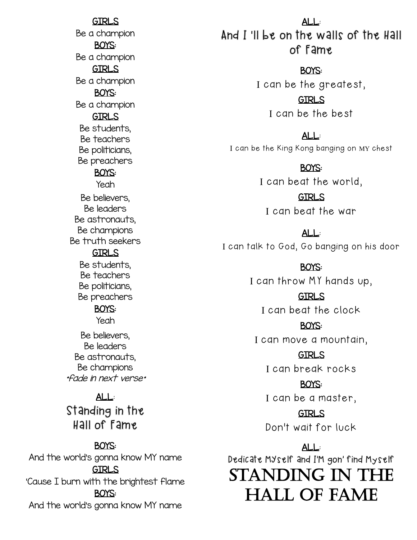GIRLS Be a champion BOYS: Be a champion GIRLS Be a champion BOYS: Be a champion GIRLS Be students, Be teachers Be politicians, Be preachers BOYS: Yeah Be believers, Be leaders Be astronauts, Be champions GIRLS Be students, Be teachers

Be truth seekers

Be politicians, Be preachers

### BOYS:

Yeah

Be believers, Be leaders Be astronauts, Be champions \*fade in next verse\*

## ALL:

Standing in the Hall of Fame

### BOYS:

And the world's gonna know MY name GIRLS 'Cause I burn with the brightest flame BOYS: And the world's gonna know MY name

ALL: And I 'll be on the walls of the Hall of Fame

BOYS:

I can be the greatest,

GIRLS I can be the best

ALL:

I can be the King Kong banging on MY chest

#### BOYS:

I can beat the world,

GIRLS I can beat the war

ALL: I can talk to God, Go banging on his door

> BOYS: I can throw MY hands up,

GIRLS I can beat the clock

BOYS:

I can move a mountain,

GIRLS I can break rocks

BOYS: I can be a master,

GIRLS Don't wait for luck

ALL: Dedicate MYself and I'M gon' find Myself STANDING IN THE Hall of Fame